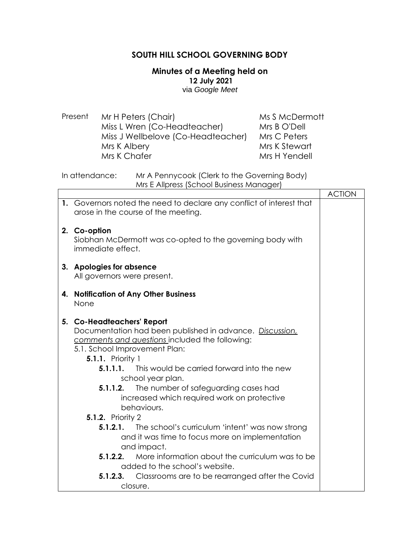## **SOUTH HILL SCHOOL GOVERNING BODY**

## **Minutes of a Meeting held on 12 July 2021** via *Google Meet*

Present Mr H Peters (Chair) Miss L Wren (Co-Headteacher) Miss J Wellbelove (Co-Headteacher) Mrs K Albery Mrs K Chafer Ms S McDermott Mrs B O'Dell Mrs C Peters Mrs K Stewart Mrs H Yendell

In attendance: Mr A Pennycook (Clerk to the Governing Body) Mrs E Allpress (School Business Manager)

|    |                                                                                                                                                                                                                                                                 | <b>ACTION</b> |
|----|-----------------------------------------------------------------------------------------------------------------------------------------------------------------------------------------------------------------------------------------------------------------|---------------|
|    | 1. Governors noted the need to declare any conflict of interest that<br>arose in the course of the meeting.                                                                                                                                                     |               |
|    | 2. Co-option<br>Siobhan McDermott was co-opted to the governing body with<br>immediate effect.                                                                                                                                                                  |               |
|    | 3. Apologies for absence<br>All governors were present.                                                                                                                                                                                                         |               |
| 4. | <b>Notification of Any Other Business</b><br>None                                                                                                                                                                                                               |               |
|    | 5. Co-Headteachers' Report<br>Documentation had been published in advance. Discussion,<br>comments and questions included the following:<br>5.1. School Improvement Plan:<br><b>5.1.1.</b> Priority 1<br>This would be carried forward into the new<br>5.1.1.1. |               |
|    | school year plan.                                                                                                                                                                                                                                               |               |
|    | The number of safeguarding cases had<br>5.1.1.2.<br>increased which required work on protective<br>behaviours.<br><b>5.1.2.</b> Priority 2                                                                                                                      |               |
|    | 5.1.2.1.<br>The school's curriculum 'intent' was now strong<br>and it was time to focus more on implementation<br>and impact.                                                                                                                                   |               |
|    | More information about the curriculum was to be<br>5.1.2.2.<br>added to the school's website.                                                                                                                                                                   |               |
|    | Classrooms are to be rearranged after the Covid<br>5.1.2.3.                                                                                                                                                                                                     |               |
|    | closure.                                                                                                                                                                                                                                                        |               |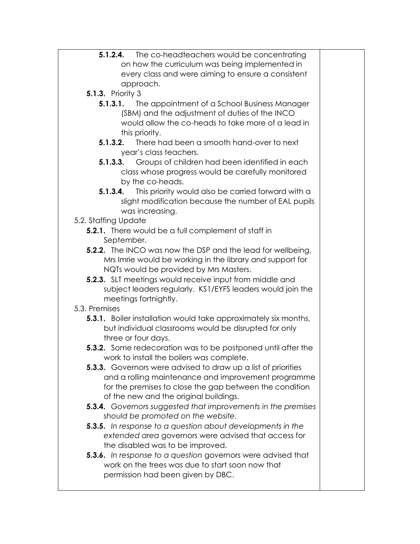**5.1.2.4.** The co-headteachers would be concentrating on how the curriculum was being implemented in every class and were aiming to ensure a consistent approach. **5.1.3.** Priority 3 **5.1.3.1.** The appointment of a School Business Manager (SBM) and the adjustment of duties of the INCO would allow the co-heads to take more of a lead in this priority. **5.1.3.2.** There had been a smooth hand-over to next year's class teachers. **5.1.3.3.** Groups of children had been identified in each class whose progress would be carefully monitored by the co-heads. **5.1.3.4.** This priority would also be carried forward with a slight modification because the number of EAL pupils was increasing. 5.2. Staffing Update **5.2.1.** There would be a full complement of staff in September. **5.2.2.** The INCO was now the DSP and the lead for wellbeing, Mrs Imrie would be working in the library and support for NQTs would be provided by Mrs Masters. **5.2.3.** SLT meetings would receive input from middle and subject leaders regularly. KS1/EYFS leaders would join the meetings fortnightly. 5.3. Premises **5.3.1.** Boiler installation would take approximately six months, but individual classrooms would be disrupted for only three or four days. **5.3.2.** Some redecoration was to be postponed until after the work to install the boilers was complete. **5.3.3.** Governors were advised to draw up a list of priorities and a rolling maintenance and improvement programme for the premises to close the gap between the condition of the new and the original buildings. **5.3.4.** *Governors suggested that improvements in the premises should be promoted on the website.* **5.3.5.** *In response to a question about developments in the extended area* governors were advised that access for the disabled was to be improved. **5.3.6.** *In response to a question* governors were advised that work on the trees was due to start soon now that permission had been given by DBC.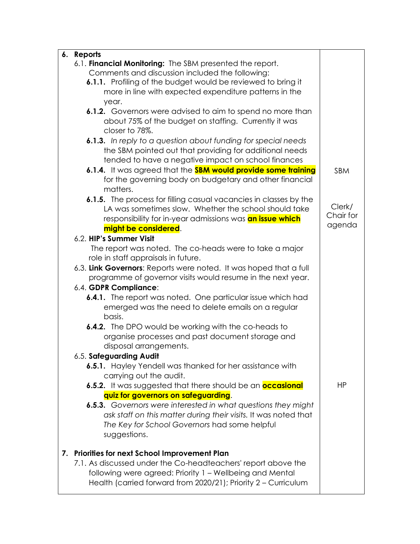|    | 6. Reports                                                           |           |
|----|----------------------------------------------------------------------|-----------|
|    | 6.1. Financial Monitoring: The SBM presented the report.             |           |
|    | Comments and discussion included the following:                      |           |
|    | 6.1.1. Profiling of the budget would be reviewed to bring it         |           |
|    | more in line with expected expenditure patterns in the               |           |
|    | year.                                                                |           |
|    | 6.1.2. Governors were advised to aim to spend no more than           |           |
|    | about 75% of the budget on staffing. Currently it was                |           |
|    | closer to 78%.                                                       |           |
|    | 6.1.3. In reply to a question about funding for special needs        |           |
|    | the SBM pointed out that providing for additional needs              |           |
|    | tended to have a negative impact on school finances                  |           |
|    | 6.1.4. It was agreed that the <b>SBM would provide some training</b> | SBM       |
|    | for the governing body on budgetary and other financial              |           |
|    | matters.                                                             |           |
|    | 6.1.5. The process for filling casual vacancies in classes by the    |           |
|    | LA was sometimes slow. Whether the school should take                | Clerk/    |
|    | responsibility for in-year admissions was an issue which             | Chair for |
|    | might be considered.                                                 | agenda    |
|    | 6.2. HIP's Summer Visit                                              |           |
|    | The report was noted. The co-heads were to take a major              |           |
|    | role in staff appraisals in future.                                  |           |
|    | 6.3. Link Governors: Reports were noted. It was hoped that a full    |           |
|    | programme of governor visits would resume in the next year.          |           |
|    | 6.4. GDPR Compliance:                                                |           |
|    | <b>6.4.1.</b> The report was noted. One particular issue which had   |           |
|    | emerged was the need to delete emails on a regular                   |           |
|    | basis.                                                               |           |
|    | 6.4.2. The DPO would be working with the co-heads to                 |           |
|    | organise processes and past document storage and                     |           |
|    | disposal arrangements.                                               |           |
|    | 6.5. Safeguarding Audit                                              |           |
|    | 6.5.1. Hayley Yendell was thanked for her assistance with            |           |
|    | carrying out the audit.                                              |           |
|    | 6.5.2. It was suggested that there should be an <b>occasional</b>    | ΗP        |
|    | quiz for governors on safeguarding.                                  |           |
|    | 6.5.3. Governors were interested in what questions they might        |           |
|    | ask staff on this matter during their visits. It was noted that      |           |
|    | The Key for School Governors had some helpful                        |           |
|    | suggestions.                                                         |           |
|    |                                                                      |           |
| 7. | <b>Priorities for next School Improvement Plan</b>                   |           |
|    | 7.1. As discussed under the Co-headteachers' report above the        |           |
|    | following were agreed: Priority 1 – Wellbeing and Mental             |           |
|    | Health (carried forward from 2020/21); Priority 2 - Curriculum       |           |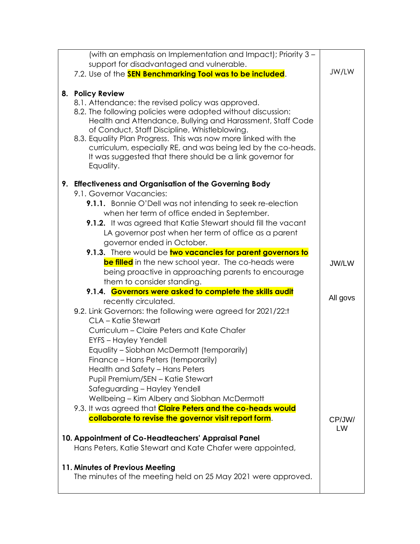| (with an emphasis on Implementation and Impact); Priority 3 -                                                                                                                                                                                                                                               |              |
|-------------------------------------------------------------------------------------------------------------------------------------------------------------------------------------------------------------------------------------------------------------------------------------------------------------|--------------|
| support for disadvantaged and vulnerable.                                                                                                                                                                                                                                                                   |              |
| 7.2. Use of the <b>SEN Benchmarking Tool was to be included</b> .                                                                                                                                                                                                                                           | JW/LW        |
| 8. Policy Review<br>8.1. Attendance: the revised policy was approved.<br>8.2. The following policies were adopted without discussion:                                                                                                                                                                       |              |
| Health and Attendance, Bullying and Harassment, Staff Code<br>of Conduct, Staff Discipline, Whistleblowing.<br>8.3. Equality Plan Progress. This was now more linked with the<br>curriculum, especially RE, and was being led by the co-heads.<br>It was suggested that there should be a link governor for |              |
| Equality.                                                                                                                                                                                                                                                                                                   |              |
| 9. Effectiveness and Organisation of the Governing Body<br>9.1. Governor Vacancies:                                                                                                                                                                                                                         |              |
| <b>9.1.1.</b> Bonnie O'Dell was not intending to seek re-election<br>when her term of office ended in September.                                                                                                                                                                                            |              |
| 9.1.2. It was agreed that Katie Stewart should fill the vacant<br>LA governor post when her term of office as a parent<br>governor ended in October.                                                                                                                                                        |              |
| 9.1.3. There would be two vacancies for parent governors to                                                                                                                                                                                                                                                 |              |
| <b>be filled</b> in the new school year. The co-heads were                                                                                                                                                                                                                                                  | JW/LW        |
| being proactive in approaching parents to encourage                                                                                                                                                                                                                                                         |              |
| them to consider standing.                                                                                                                                                                                                                                                                                  |              |
| 9.1.4. Governors were asked to complete the skills audit                                                                                                                                                                                                                                                    | All govs     |
| recently circulated.<br>9.2. Link Governors: the following were agreed for 2021/22:t                                                                                                                                                                                                                        |              |
| CLA - Katie Stewart                                                                                                                                                                                                                                                                                         |              |
| Curriculum - Claire Peters and Kate Chafer                                                                                                                                                                                                                                                                  |              |
| <b>EYFS - Hayley Yendell</b>                                                                                                                                                                                                                                                                                |              |
| Equality - Siobhan McDermott (temporarily)                                                                                                                                                                                                                                                                  |              |
| Finance – Hans Peters (temporarily)<br>Health and Safety - Hans Peters                                                                                                                                                                                                                                      |              |
| Pupil Premium/SEN - Katie Stewart                                                                                                                                                                                                                                                                           |              |
| Safeguarding - Hayley Yendell                                                                                                                                                                                                                                                                               |              |
| Wellbeing - Kim Albery and Siobhan McDermott                                                                                                                                                                                                                                                                |              |
| 9.3. It was agreed that <b>Claire Peters and the co-heads would</b>                                                                                                                                                                                                                                         |              |
| collaborate to revise the governor visit report form.                                                                                                                                                                                                                                                       | CP/JW/<br>LW |
| 10. Appointment of Co-Headteachers' Appraisal Panel<br>Hans Peters, Katie Stewart and Kate Chafer were appointed,                                                                                                                                                                                           |              |
| 11. Minutes of Previous Meeting<br>The minutes of the meeting held on 25 May 2021 were approved.                                                                                                                                                                                                            |              |